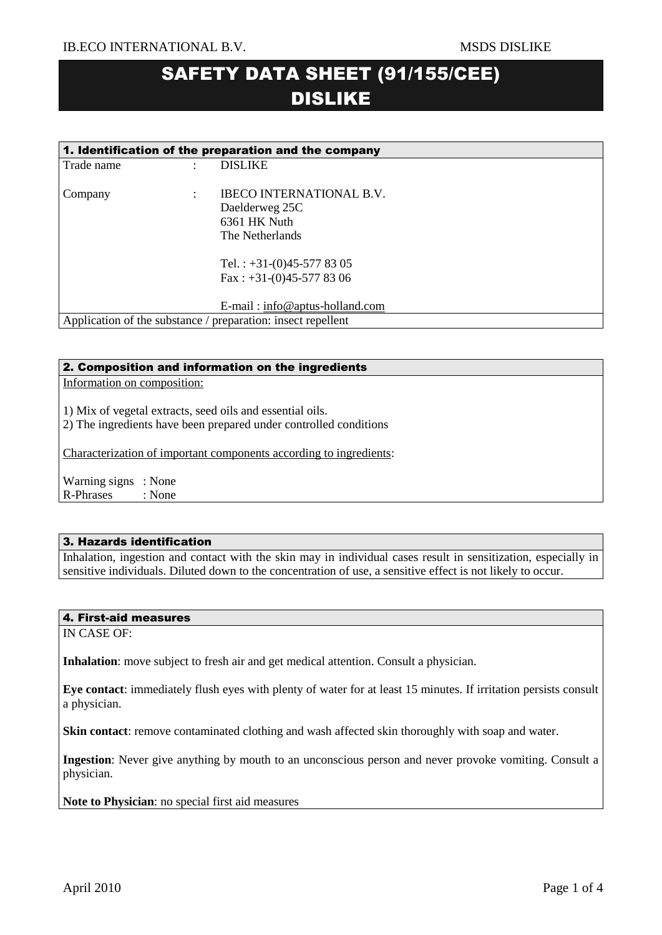# SAFETY DATA SHEET (91/155/CEE) DISLIKE

| 1. Identification of the preparation and the company |   |                                                                                      |  |  |  |
|------------------------------------------------------|---|--------------------------------------------------------------------------------------|--|--|--|
| Trade name                                           | ٠ | <b>DISLIKE</b>                                                                       |  |  |  |
| Company                                              | ٠ | <b>IBECO INTERNATIONAL B.V.</b><br>Daelderweg 25C<br>6361 HK Nuth<br>The Netherlands |  |  |  |
|                                                      |   | Tel.: $+31-(0)45-5778305$<br>Fax: $+31-(0)45-5778306$                                |  |  |  |
|                                                      |   | $E$ -mail: info@aptus-holland.com                                                    |  |  |  |
|                                                      |   | Application of the substance / preparation: insect repellent                         |  |  |  |

# 2. Composition and information on the ingredients

Information on composition:

1) Mix of vegetal extracts, seed oils and essential oils.

2) The ingredients have been prepared under controlled conditions

Characterization of important components according to ingredients:

Warning signs : None R-Phrases : None

### 3. Hazards identification

Inhalation, ingestion and contact with the skin may in individual cases result in sensitization, especially in sensitive individuals. Diluted down to the concentration of use, a sensitive effect is not likely to occur.

### 4. First-aid measures

IN CASE OF:

**Inhalation**: move subject to fresh air and get medical attention. Consult a physician.

**Eye contact**: immediately flush eyes with plenty of water for at least 15 minutes. If irritation persists consult a physician.

**Skin contact**: remove contaminated clothing and wash affected skin thoroughly with soap and water.

**Ingestion**: Never give anything by mouth to an unconscious person and never provoke vomiting. Consult a physician.

**Note to Physician**: no special first aid measures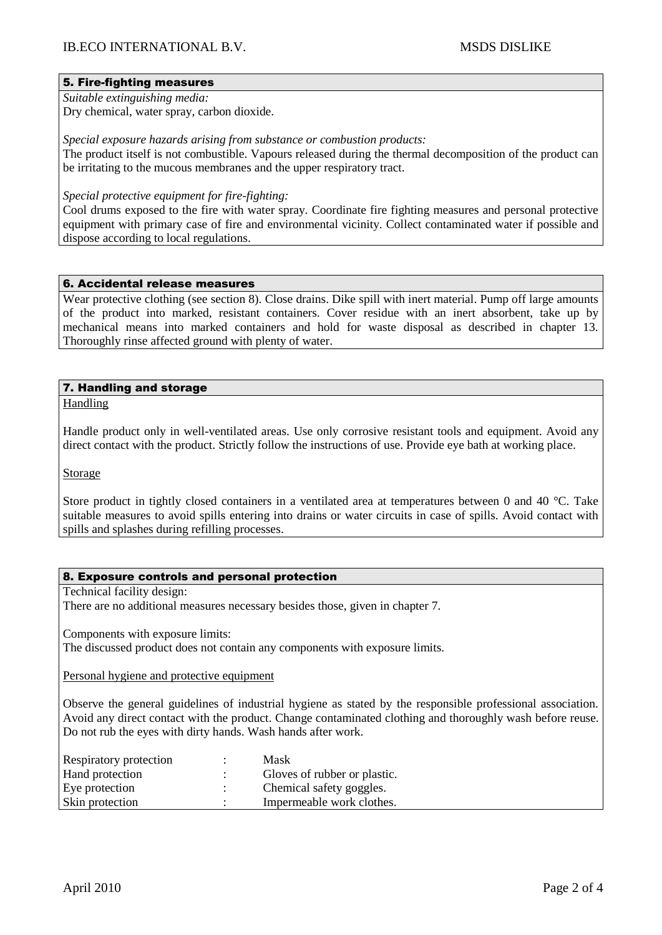# 5. Fire-fighting measures

*Suitable extinguishing media:* Dry chemical, water spray, carbon dioxide.

*Special exposure hazards arising from substance or combustion products:* 

The product itself is not combustible. Vapours released during the thermal decomposition of the product can be irritating to the mucous membranes and the upper respiratory tract.

*Special protective equipment for fire-fighting:*

Cool drums exposed to the fire with water spray. Coordinate fire fighting measures and personal protective equipment with primary case of fire and environmental vicinity. Collect contaminated water if possible and dispose according to local regulations.

### 6. Accidental release measures

Wear protective clothing (see section 8). Close drains. Dike spill with inert material. Pump off large amounts of the product into marked, resistant containers. Cover residue with an inert absorbent, take up by mechanical means into marked containers and hold for waste disposal as described in chapter 13. Thoroughly rinse affected ground with plenty of water.

# 7. Handling and storage

Handling

Handle product only in well-ventilated areas. Use only corrosive resistant tools and equipment. Avoid any direct contact with the product. Strictly follow the instructions of use. Provide eye bath at working place.

Storage

Store product in tightly closed containers in a ventilated area at temperatures between 0 and 40 °C. Take suitable measures to avoid spills entering into drains or water circuits in case of spills. Avoid contact with spills and splashes during refilling processes.

## 8. Exposure controls and personal protection

Technical facility design:

There are no additional measures necessary besides those, given in chapter 7.

Components with exposure limits:

The discussed product does not contain any components with exposure limits.

Personal hygiene and protective equipment

Observe the general guidelines of industrial hygiene as stated by the responsible professional association. Avoid any direct contact with the product. Change contaminated clothing and thoroughly wash before reuse. Do not rub the eyes with dirty hands. Wash hands after work.

| Respiratory protection | Mask                         |
|------------------------|------------------------------|
| Hand protection        | Gloves of rubber or plastic. |
| Eye protection         | Chemical safety goggles.     |
| Skin protection        | Impermeable work clothes.    |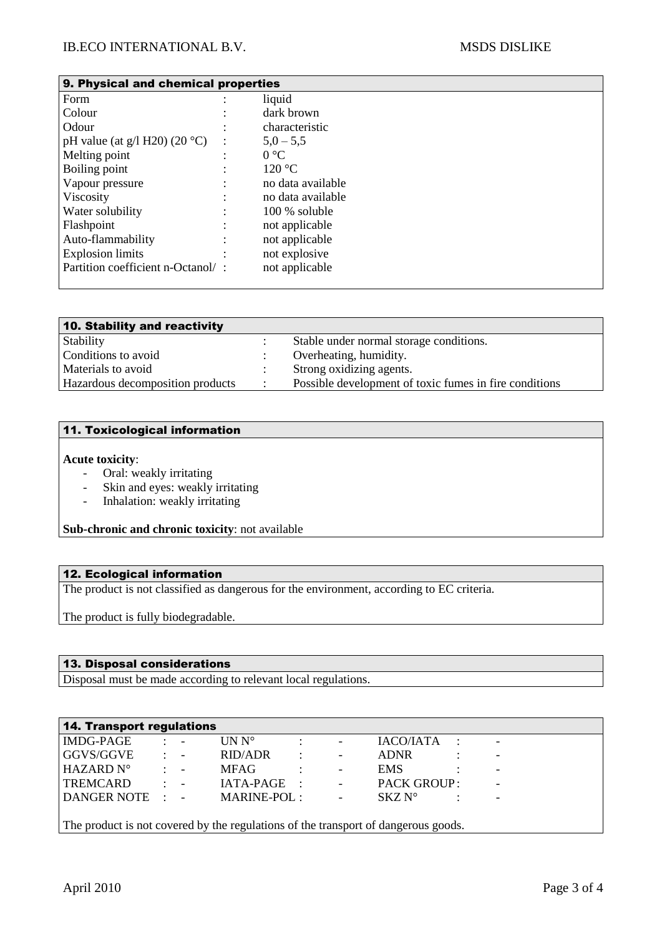| 9. Physical and chemical properties |  |                   |  |  |  |
|-------------------------------------|--|-------------------|--|--|--|
| Form                                |  | liquid            |  |  |  |
| Colour                              |  | dark brown        |  |  |  |
| Odour                               |  | characteristic    |  |  |  |
| pH value (at $g/1$ H20) (20 °C)     |  | $5,0-5,5$         |  |  |  |
| Melting point                       |  | $0^{\circ}C$      |  |  |  |
| Boiling point                       |  | 120 °C            |  |  |  |
| Vapour pressure                     |  | no data available |  |  |  |
| Viscosity                           |  | no data available |  |  |  |
| Water solubility                    |  | $100\%$ soluble   |  |  |  |
| Flashpoint                          |  | not applicable    |  |  |  |
| Auto-flammability                   |  | not applicable    |  |  |  |
| <b>Explosion limits</b>             |  | not explosive     |  |  |  |
| Partition coefficient n-Octanol/:   |  | not applicable    |  |  |  |

| 10. Stability and reactivity     |           |                                                        |
|----------------------------------|-----------|--------------------------------------------------------|
| Stability                        |           | Stable under normal storage conditions.                |
| Conditions to avoid              |           | Overheating, humidity.                                 |
| Materials to avoid               |           | Strong oxidizing agents.                               |
| Hazardous decomposition products | $\bullet$ | Possible development of toxic fumes in fire conditions |

### 11. Toxicological information

## **Acute toxicity**:

- Oral: weakly irritating
- Skin and eyes: weakly irritating
- Inhalation: weakly irritating

**Sub-chronic and chronic toxicity**: not available

### 12. Ecological information

The product is not classified as dangerous for the environment, according to EC criteria.

The product is fully biodegradable.

# 13. Disposal considerations

Disposal must be made according to relevant local regulations.

| 14. Transport regulations                                                          |           |            |                                  |                      |                          |                    |  |                          |  |
|------------------------------------------------------------------------------------|-----------|------------|----------------------------------|----------------------|--------------------------|--------------------|--|--------------------------|--|
| <b>IMDG-PAGE</b>                                                                   |           | $1 - 4$    | $\overline{\text{UN N}^{\circ}}$ |                      | $\overline{\phantom{a}}$ | IACO/IATA:         |  | $\overline{\phantom{a}}$ |  |
| GGVS/GGVE                                                                          | $\bullet$ | $\sim 100$ | RID/ADR                          | $\ddot{\phantom{a}}$ | $\overline{\phantom{a}}$ | <b>ADNR</b>        |  | $\overline{\phantom{a}}$ |  |
| HAZARD N°                                                                          |           | $2 - 4$    | <b>MFAG</b>                      |                      | $\overline{\phantom{a}}$ | EMS.               |  |                          |  |
| <b>TREMCARD</b>                                                                    | ÷         | $\sim 100$ | $IATA-PAGE$ :                    |                      | $\omega_{\rm{max}}$      | <b>PACK GROUP:</b> |  |                          |  |
| DANGER NOTE : -                                                                    |           |            | MARINE-POL :                     |                      | $\equiv$                 | $SKZN^{\circ}$     |  |                          |  |
|                                                                                    |           |            |                                  |                      |                          |                    |  |                          |  |
| The product is not covered by the regulations of the transport of dangerous goods. |           |            |                                  |                      |                          |                    |  |                          |  |